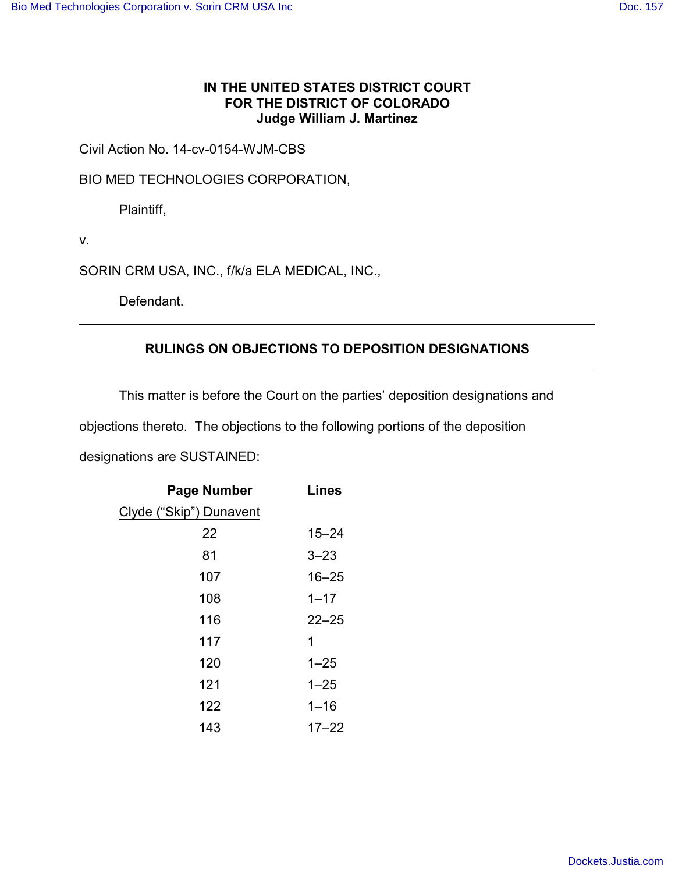## **IN THE UNITED STATES DISTRICT COURT FOR THE DISTRICT OF COLORADO Judge William J. Martínez**

Civil Action No. 14-cv-0154-WJM-CBS

BIO MED TECHNOLOGIES CORPORATION,

Plaintiff,

v.

SORIN CRM USA, INC., f/k/a ELA MEDICAL, INC.,

Defendant.

## **RULINGS ON OBJECTIONS TO DEPOSITION DESIGNATIONS**

This matter is before the Court on the parties' deposition designations and

objections thereto. The objections to the following portions of the deposition

designations are SUSTAINED:

| <b>Page Number</b>      | <b>Lines</b> |
|-------------------------|--------------|
| Clyde ("Skip") Dunavent |              |
| 22                      | $15 - 24$    |
| 81                      | $3 - 23$     |
| 107                     | $16 - 25$    |
| 108                     | $1 - 17$     |
| 116                     | $22 - 25$    |
| 117                     | 1            |
| 120                     | $1 - 25$     |
| 121                     | $1 - 25$     |
| 122                     | $1 - 16$     |
| 143                     | $17 - 22$    |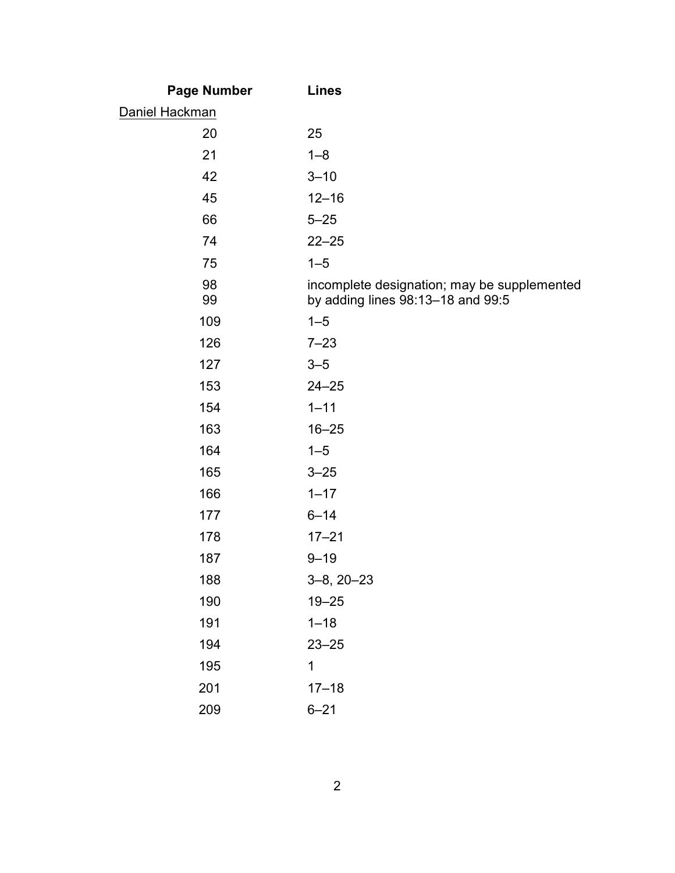| <b>Page Number</b> | <b>Lines</b>                                                                     |
|--------------------|----------------------------------------------------------------------------------|
| Daniel Hackman     |                                                                                  |
| 20                 | 25                                                                               |
| 21                 | $1 - 8$                                                                          |
| 42                 | $3 - 10$                                                                         |
| 45                 | $12 - 16$                                                                        |
| 66                 | $5 - 25$                                                                         |
| 74                 | $22 - 25$                                                                        |
| 75                 | $1 - 5$                                                                          |
| 98<br>99           | incomplete designation; may be supplemented<br>by adding lines 98:13-18 and 99:5 |
| 109                | $1 - 5$                                                                          |
| 126                | $7 - 23$                                                                         |
| 127                | $3 - 5$                                                                          |
| 153                | $24 - 25$                                                                        |
| 154                | $1 - 11$                                                                         |
| 163                | $16 - 25$                                                                        |
| 164                | $1 - 5$                                                                          |
| 165                | $3 - 25$                                                                         |
| 166                | $1 - 17$                                                                         |
| 177                | $6 - 14$                                                                         |
| 178                | $17 - 21$                                                                        |
| 187                | $9 - 19$                                                                         |
| 188                | $3-8, 20-23$                                                                     |
| 190                | $19 - 25$                                                                        |
| 191                | $1 - 18$                                                                         |
| 194                | $23 - 25$                                                                        |
| 195                | $\mathbf{1}$                                                                     |
| 201                | $17 - 18$                                                                        |
| 209                | $6 - 21$                                                                         |